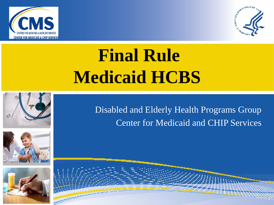



# **Final Rule Medicaid HCBS**







Disabled and Elderly Health Programs Group Center for Medicaid and CHIP Services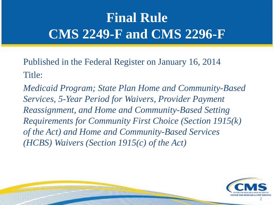### **Final Rule CMS 2249-F and CMS 2296-F**

Published in the Federal Register on January 16, 2014 Title:

*Medicaid Program; State Plan Home and Community-Based Services, 5-Year Period for Waivers, Provider Payment Reassignment, and Home and Community-Based Setting Requirements for Community First Choice (Section 1915(k) of the Act) and Home and Community-Based Services (HCBS) Waivers (Section 1915(c) of the Act)* 

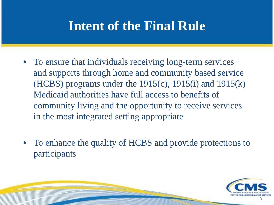### **Intent of the Final Rule**

- To ensure that individuals receiving long-term services and supports through home and community based service (HCBS) programs under the  $1915(c)$ ,  $1915(i)$  and  $1915(k)$ Medicaid authorities have full access to benefits of community living and the opportunity to receive services in the most integrated setting appropriate
- To enhance the quality of HCBS and provide protections to participants

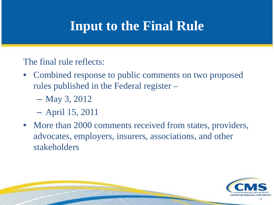### **Input to the Final Rule**

The final rule reflects:

- Combined response to public comments on two proposed rules published in the Federal register –
	- May 3, 2012
	- April 15, 2011
- More than 2000 comments received from states, providers, advocates, employers, insurers, associations, and other stakeholders

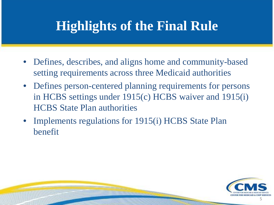### **Highlights of the Final Rule**

- Defines, describes, and aligns home and community-based setting requirements across three Medicaid authorities
- Defines person-centered planning requirements for persons in HCBS settings under 1915(c) HCBS waiver and 1915(i) HCBS State Plan authorities
- Implements regulations for 1915(i) HCBS State Plan benefit

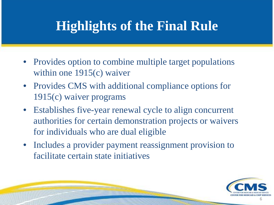### **Highlights of the Final Rule**

- Provides option to combine multiple target populations within one 1915(c) waiver
- Provides CMS with additional compliance options for 1915(c) waiver programs
- Establishes five-year renewal cycle to align concurrent authorities for certain demonstration projects or waivers for individuals who are dual eligible
- Includes a provider payment reassignment provision to facilitate certain state initiatives

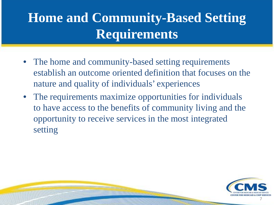- The home and community-based setting requirements establish an outcome oriented definition that focuses on the nature and quality of individuals' experiences
- The requirements maximize opportunities for individuals to have access to the benefits of community living and the opportunity to receive services in the most integrated setting

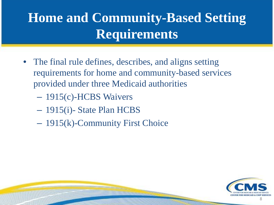- The final rule defines, describes, and aligns setting requirements for home and community-based services provided under three Medicaid authorities
	- 1915(c)-HCBS Waivers
	- 1915(i)- State Plan HCBS
	- 1915(k)-Community First Choice

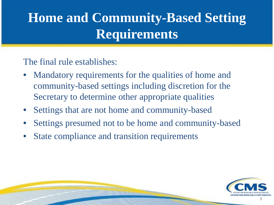The final rule establishes:

- Mandatory requirements for the qualities of home and community-based settings including discretion for the Secretary to determine other appropriate qualities
- Settings that are not home and community-based
- Settings presumed not to be home and community-based
- State compliance and transition requirements

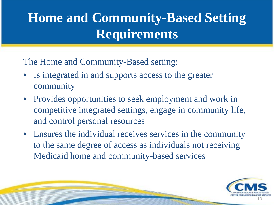The Home and Community-Based setting:

- Is integrated in and supports access to the greater community
- Provides opportunities to seek employment and work in competitive integrated settings, engage in community life, and control personal resources
- Ensures the individual receives services in the community to the same degree of access as individuals not receiving Medicaid home and community-based services

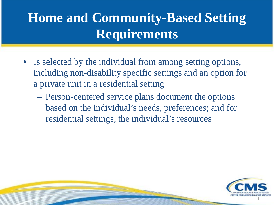- Is selected by the individual from among setting options, including non-disability specific settings and an option for a private unit in a residential setting
	- Person-centered service plans document the options based on the individual's needs, preferences; and for residential settings, the individual's resources

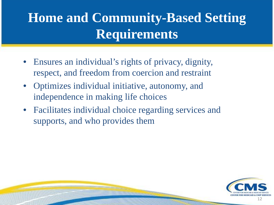- Ensures an individual's rights of privacy, dignity, respect, and freedom from coercion and restraint
- Optimizes individual initiative, autonomy, and independence in making life choices
- Facilitates individual choice regarding services and supports, and who provides them

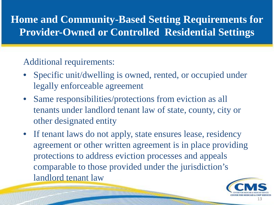#### Additional requirements:

- Specific unit/dwelling is owned, rented, or occupied under legally enforceable agreement
- Same responsibilities/protections from eviction as all tenants under landlord tenant law of state, county, city or other designated entity
- If tenant laws do not apply, state ensures lease, residency agreement or other written agreement is in place providing protections to address eviction processes and appeals comparable to those provided under the jurisdiction's landlord tenant law

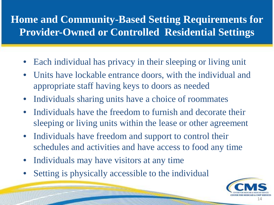- Each individual has privacy in their sleeping or living unit
- Units have lockable entrance doors, with the individual and appropriate staff having keys to doors as needed
- Individuals sharing units have a choice of roommates
- Individuals have the freedom to furnish and decorate their sleeping or living units within the lease or other agreement
- Individuals have freedom and support to control their schedules and activities and have access to food any time
- Individuals may have visitors at any time
- Setting is physically accessible to the individual

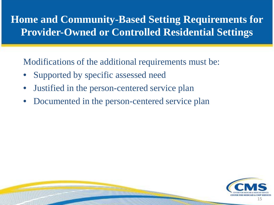Modifications of the additional requirements must be:

- Supported by specific assessed need
- Justified in the person-centered service plan
- Documented in the person-centered service plan

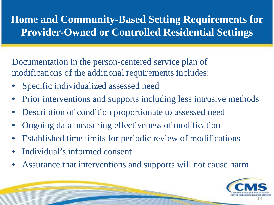Documentation in the person-centered service plan of modifications of the additional requirements includes:

- Specific individualized assessed need
- Prior interventions and supports including less intrusive methods
- Description of condition proportionate to assessed need
- Ongoing data measuring effectiveness of modification
- Established time limits for periodic review of modifications
- Individual's informed consent
- Assurance that interventions and supports will not cause harm

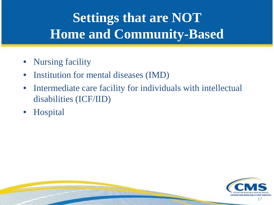## **Settings that are NOT Home and Community-Based**

- Nursing facility
- Institution for mental diseases (IMD)
- Intermediate care facility for individuals with intellectual disabilities (ICF/IID)
- Hospital

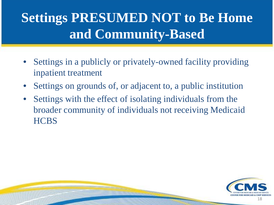### **Settings PRESUMED NOT to Be Home and Community-Based**

- Settings in a publicly or privately-owned facility providing inpatient treatment
- Settings on grounds of, or adjacent to, a public institution
- Settings with the effect of isolating individuals from the broader community of individuals not receiving Medicaid **HCBS**

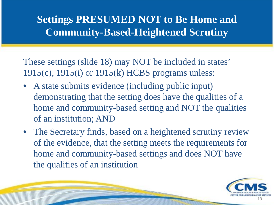#### **Settings PRESUMED NOT to Be Home and Community-Based-Heightened Scrutiny**

These settings (slide 18) may NOT be included in states' 1915(c), 1915(i) or 1915(k) HCBS programs unless:

- A state submits evidence (including public input) demonstrating that the setting does have the qualities of a home and community-based setting and NOT the qualities of an institution; AND
- The Secretary finds, based on a heightened scrutiny review of the evidence, that the setting meets the requirements for home and community-based settings and does NOT have the qualities of an institution

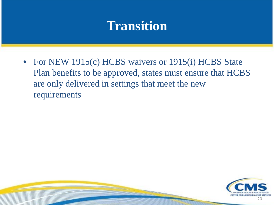• For NEW 1915(c) HCBS waivers or 1915(i) HCBS State Plan benefits to be approved, states must ensure that HCBS are only delivered in settings that meet the new requirements

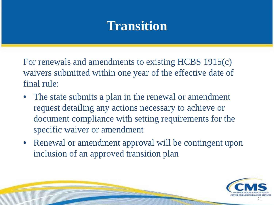For renewals and amendments to existing HCBS 1915(c) waivers submitted within one year of the effective date of final rule:

- The state submits a plan in the renewal or amendment request detailing any actions necessary to achieve or document compliance with setting requirements for the specific waiver or amendment
- Renewal or amendment approval will be contingent upon inclusion of an approved transition plan

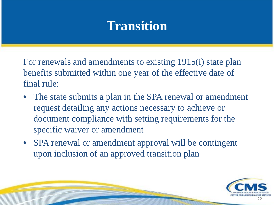For renewals and amendments to existing 1915(i) state plan benefits submitted within one year of the effective date of final rule:

- The state submits a plan in the SPA renewal or amendment request detailing any actions necessary to achieve or document compliance with setting requirements for the specific waiver or amendment
- SPA renewal or amendment approval will be contingent upon inclusion of an approved transition plan

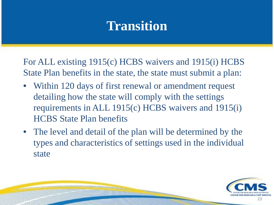For ALL existing 1915(c) HCBS waivers and 1915(i) HCBS State Plan benefits in the state, the state must submit a plan:

- Within 120 days of first renewal or amendment request detailing how the state will comply with the settings requirements in ALL 1915(c) HCBS waivers and 1915(i) HCBS State Plan benefits
- The level and detail of the plan will be determined by the types and characteristics of settings used in the individual state

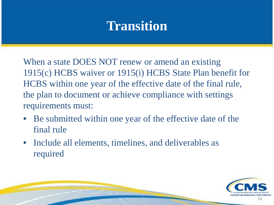When a state DOES NOT renew or amend an existing 1915(c) HCBS waiver or 1915(i) HCBS State Plan benefit for HCBS within one year of the effective date of the final rule, the plan to document or achieve compliance with settings requirements must:

- Be submitted within one year of the effective date of the final rule
- Include all elements, timelines, and deliverables as required

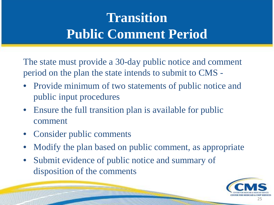### **Transition Public Comment Period**

The state must provide a 30-day public notice and comment period on the plan the state intends to submit to CMS -

- Provide minimum of two statements of public notice and public input procedures
- Ensure the full transition plan is available for public comment
- Consider public comments
- Modify the plan based on public comment, as appropriate
- Submit evidence of public notice and summary of disposition of the comments

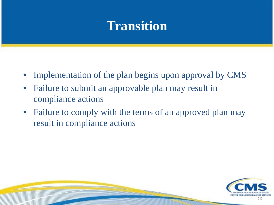- Implementation of the plan begins upon approval by CMS
- Failure to submit an approvable plan may result in compliance actions
- Failure to comply with the terms of an approved plan may result in compliance actions

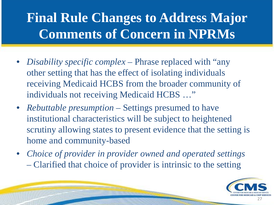### **Final Rule Changes to Address Major Comments of Concern in NPRMs**

- *Disability specific complex*  Phrase replaced with "any other setting that has the effect of isolating individuals receiving Medicaid HCBS from the broader community of individuals not receiving Medicaid HCBS …"
- *Rebuttable presumption* Settings presumed to have institutional characteristics will be subject to heightened scrutiny allowing states to present evidence that the setting is home and community-based
- *Choice of provider in provider owned and operated settings* – Clarified that choice of provider is intrinsic to the setting

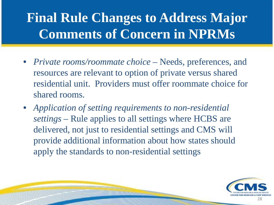### **Final Rule Changes to Address Major Comments of Concern in NPRMs**

- *Private rooms/roommate choice* Needs, preferences, and resources are relevant to option of private versus shared residential unit. Providers must offer roommate choice for shared rooms.
- *Application of setting requirements to non-residential settings* – Rule applies to all settings where HCBS are delivered, not just to residential settings and CMS will provide additional information about how states should apply the standards to non-residential settings

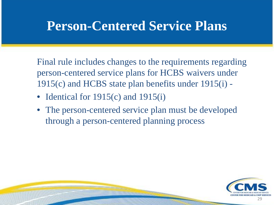### **Person-Centered Service Plans**

Final rule includes changes to the requirements regarding person-centered service plans for HCBS waivers under 1915(c) and HCBS state plan benefits under 1915(i) -

- Identical for 1915(c) and 1915(i)
- The person-centered service plan must be developed through a person-centered planning process

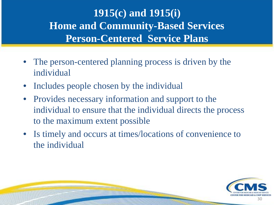#### **1915(c) and 1915(i) Home and Community-Based Services Person-Centered Service Plans**

- The person-centered planning process is driven by the individual
- Includes people chosen by the individual
- Provides necessary information and support to the individual to ensure that the individual directs the process to the maximum extent possible
- Is timely and occurs at times/locations of convenience to the individual

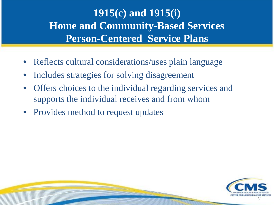#### **1915(c) and 1915(i) Home and Community-Based Services Person-Centered Service Plans**

- Reflects cultural considerations/uses plain language
- Includes strategies for solving disagreement
- Offers choices to the individual regarding services and supports the individual receives and from whom
- Provides method to request updates

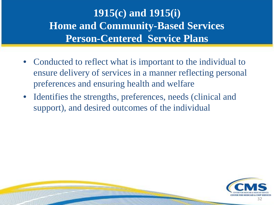#### **1915(c) and 1915(i) Home and Community-Based Services Person-Centered Service Plans**

- Conducted to reflect what is important to the individual to ensure delivery of services in a manner reflecting personal preferences and ensuring health and welfare
- Identifies the strengths, preferences, needs (clinical and support), and desired outcomes of the individual

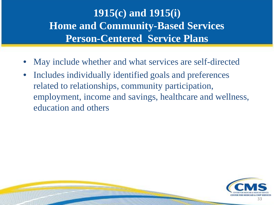#### **1915(c) and 1915(i) Home and Community-Based Services Person-Centered Service Plans**

- May include whether and what services are self-directed
- Includes individually identified goals and preferences related to relationships, community participation, employment, income and savings, healthcare and wellness, education and others

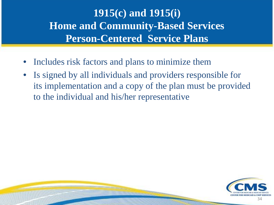#### **1915(c) and 1915(i) Home and Community-Based Services Person-Centered Service Plans**

- Includes risk factors and plans to minimize them
- Is signed by all individuals and providers responsible for its implementation and a copy of the plan must be provided to the individual and his/her representative

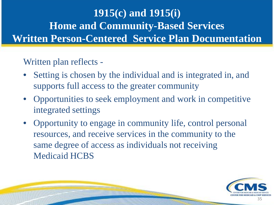#### Written plan reflects -

- Setting is chosen by the individual and is integrated in, and supports full access to the greater community
- Opportunities to seek employment and work in competitive integrated settings
- Opportunity to engage in community life, control personal resources, and receive services in the community to the same degree of access as individuals not receiving Medicaid HCBS

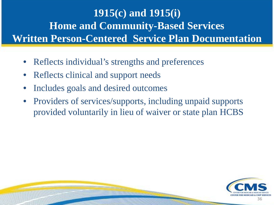- Reflects individual's strengths and preferences
- Reflects clinical and support needs
- Includes goals and desired outcomes
- Providers of services/supports, including unpaid supports provided voluntarily in lieu of waiver or state plan HCBS

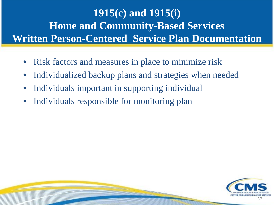- Risk factors and measures in place to minimize risk
- Individualized backup plans and strategies when needed
- Individuals important in supporting individual
- Individuals responsible for monitoring plan

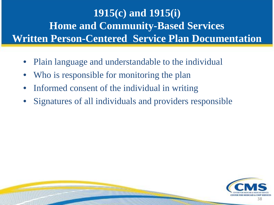- Plain language and understandable to the individual
- Who is responsible for monitoring the plan
- Informed consent of the individual in writing
- Signatures of all individuals and providers responsible

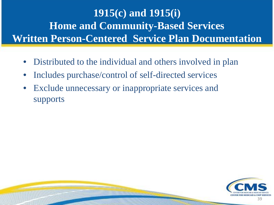- Distributed to the individual and others involved in plan
- Includes purchase/control of self-directed services
- Exclude unnecessary or inappropriate services and supports

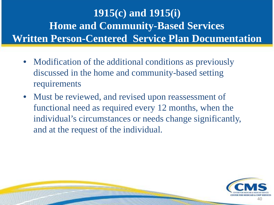- Modification of the additional conditions as previously discussed in the home and community-based setting requirements
- Must be reviewed, and revised upon reassessment of functional need as required every 12 months, when the individual's circumstances or needs change significantly, and at the request of the individual.

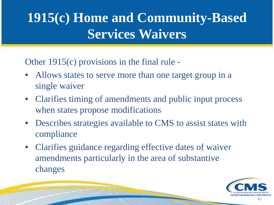### **1915(c) Home and Community-Based Services Waivers**

Other 1915(c) provisions in the final rule -

- Allows states to serve more than one target group in a single waiver
- Clarifies timing of amendments and public input process when states propose modifications
- Describes strategies available to CMS to assist states with compliance
- Clarifies guidance regarding effective dates of waiver amendments particularly in the area of substantive changes

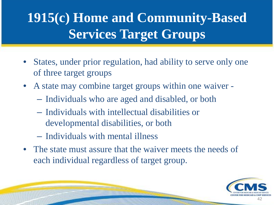## **1915(c) Home and Community-Based Services Target Groups**

- States, under prior regulation, had ability to serve only one of three target groups
- A state may combine target groups within one waiver
	- Individuals who are aged and disabled, or both
	- Individuals with intellectual disabilities or developmental disabilities, or both
	- Individuals with mental illness
- The state must assure that the waiver meets the needs of each individual regardless of target group.

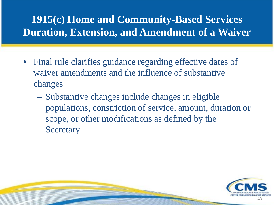#### **1915(c) Home and Community-Based Services Duration, Extension, and Amendment of a Waiver**

- Final rule clarifies guidance regarding effective dates of waiver amendments and the influence of substantive changes
	- Substantive changes include changes in eligible populations, constriction of service, amount, duration or scope, or other modifications as defined by the **Secretary**

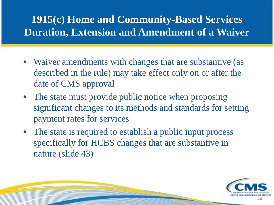#### **1915(c) Home and Community-Based Services Duration, Extension and Amendment of a Waiver**

- Waiver amendments with changes that are substantive (as described in the rule) may take effect only on or after the date of CMS approval
- The state must provide public notice when proposing significant changes to its methods and standards for setting payment rates for services
- The state is required to establish a public input process specifically for HCBS changes that are substantive in nature (slide 43)

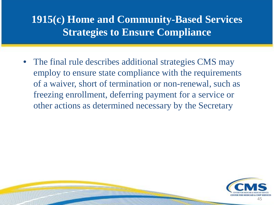#### **1915(c) Home and Community-Based Services Strategies to Ensure Compliance**

• The final rule describes additional strategies CMS may employ to ensure state compliance with the requirements of a waiver, short of termination or non-renewal, such as freezing enrollment, deferring payment for a service or other actions as determined necessary by the Secretary

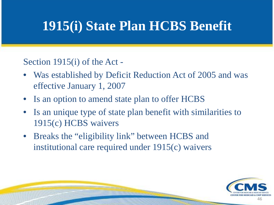Section 1915(i) of the Act -

- Was established by Deficit Reduction Act of 2005 and was effective January 1, 2007
- Is an option to amend state plan to offer HCBS
- Is an unique type of state plan benefit with similarities to 1915(c) HCBS waivers
- Breaks the "eligibility link" between HCBS and institutional care required under 1915(c) waivers

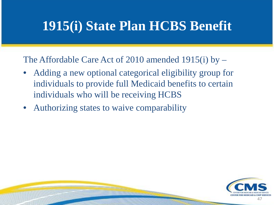The Affordable Care Act of 2010 amended 1915(i) by –

- Adding a new optional categorical eligibility group for individuals to provide full Medicaid benefits to certain individuals who will be receiving HCBS
- Authorizing states to waive comparability

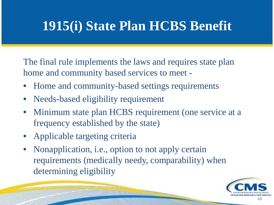The final rule implements the laws and requires state plan home and community based services to meet -

- Home and community-based settings requirements
- Needs-based eligibility requirement
- Minimum state plan HCBS requirement (one service at a frequency established by the state)
- Applicable targeting criteria
- Nonapplication, i.e., option to not apply certain requirements (medically needy, comparability) when determining eligibility

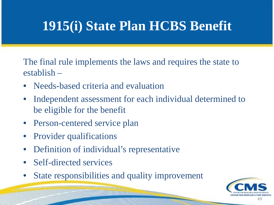The final rule implements the laws and requires the state to establish –

- Needs-based criteria and evaluation
- Independent assessment for each individual determined to be eligible for the benefit
- Person-centered service plan
- Provider qualifications
- Definition of individual's representative
- Self-directed services
- State responsibilities and quality improvement

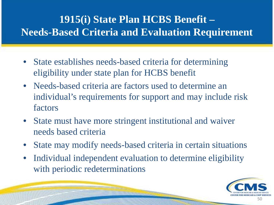#### **1915(i) State Plan HCBS Benefit – Needs-Based Criteria and Evaluation Requirement**

- State establishes needs-based criteria for determining eligibility under state plan for HCBS benefit
- Needs-based criteria are factors used to determine an individual's requirements for support and may include risk factors
- State must have more stringent institutional and waiver needs based criteria
- State may modify needs-based criteria in certain situations
- Individual independent evaluation to determine eligibility with periodic redeterminations

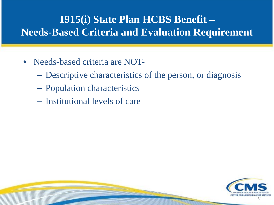#### **1915(i) State Plan HCBS Benefit – Needs-Based Criteria and Evaluation Requirement**

- Needs-based criteria are NOT-
	- Descriptive characteristics of the person, or diagnosis
	- Population characteristics
	- Institutional levels of care

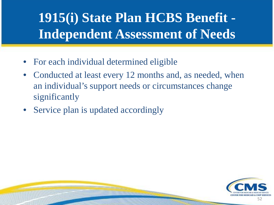### **1915(i) State Plan HCBS Benefit - Independent Assessment of Needs**

- For each individual determined eligible
- Conducted at least every 12 months and, as needed, when an individual's support needs or circumstances change significantly
- Service plan is updated accordingly

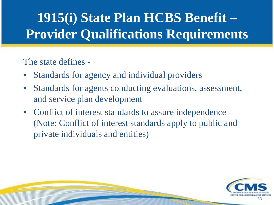## **1915(i) State Plan HCBS Benefit – Provider Qualifications Requirements**

#### The state defines -

- Standards for agency and individual providers
- Standards for agents conducting evaluations, assessment, and service plan development
- Conflict of interest standards to assure independence (Note: Conflict of interest standards apply to public and private individuals and entities)

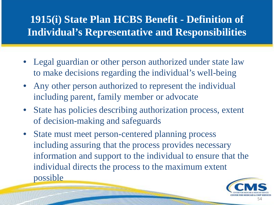#### **1915(i) State Plan HCBS Benefit - Definition of Individual's Representative and Responsibilities**

- Legal guardian or other person authorized under state law to make decisions regarding the individual's well-being
- Any other person authorized to represent the individual including parent, family member or advocate
- State has policies describing authorization process, extent of decision-making and safeguards
- State must meet person-centered planning process including assuring that the process provides necessary information and support to the individual to ensure that the individual directs the process to the maximum extent possible

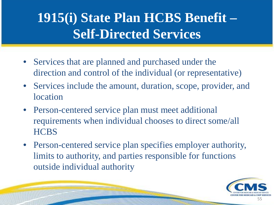### **1915(i) State Plan HCBS Benefit – Self-Directed Services**

- Services that are planned and purchased under the direction and control of the individual (or representative)
- Services include the amount, duration, scope, provider, and location
- Person-centered service plan must meet additional requirements when individual chooses to direct some/all **HCBS**
- Person-centered service plan specifies employer authority, limits to authority, and parties responsible for functions outside individual authority

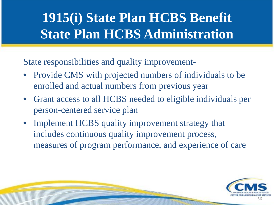### **1915(i) State Plan HCBS Benefit State Plan HCBS Administration**

State responsibilities and quality improvement-

į

- Provide CMS with projected numbers of individuals to be enrolled and actual numbers from previous year
- Grant access to all HCBS needed to eligible individuals per person-centered service plan
- Implement HCBS quality improvement strategy that includes continuous quality improvement process, measures of program performance, and experience of care

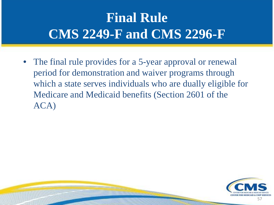### **Final Rule CMS 2249-F and CMS 2296-F**

• The final rule provides for a 5-year approval or renewal period for demonstration and waiver programs through which a state serves individuals who are dually eligible for Medicare and Medicaid benefits (Section 2601 of the ACA)

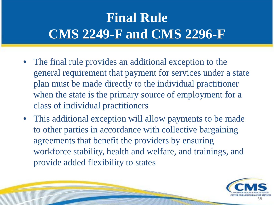### **Final Rule CMS 2249-F and CMS 2296-F**

- The final rule provides an additional exception to the general requirement that payment for services under a state plan must be made directly to the individual practitioner when the state is the primary source of employment for a class of individual practitioners
- This additional exception will allow payments to be made to other parties in accordance with collective bargaining agreements that benefit the providers by ensuring workforce stability, health and welfare, and trainings, and provide added flexibility to states